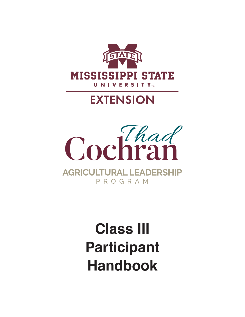

## **EXTENSION**



# **Class III Participant Handbook**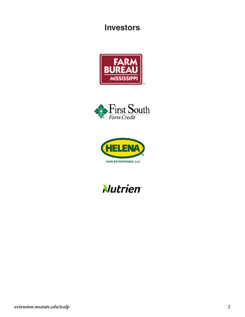### **Investors**







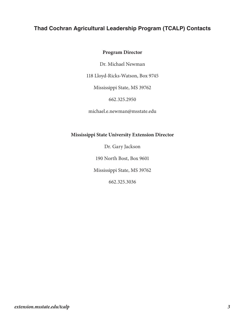#### **Thad Cochran Agricultural Leadership Program (TCALP) Contacts**

#### **Program Director**

Dr. Michael Newman

118 Lloyd-Ricks-Watson, Box 9745

Mississippi State, MS 39762

662.325.2950

michael.e.newman@msstate.edu

#### **Mississippi State University Extension Director**

Dr. Gary Jackson

190 North Bost, Box 9601

Mississippi State, MS 39762

662.325.3036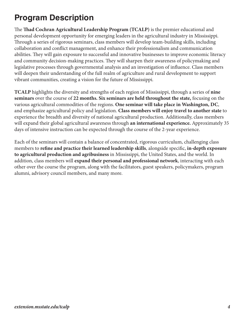### **Program Description**

The **Thad Cochran Agricultural Leadership Program (TCALP)** is the premier educational and personal development opportunity for emerging leaders in the agricultural industry in Mississippi. Through a series of rigorous seminars, class members will develop team-building skills, including collaboration and conflict management, and enhance their professionalism and communication abilities. They will gain exposure to successful and innovative businesses to improve economic literacy and community decision-making practices. They will sharpen their awareness of policymaking and legislative processes through governmental analysis and an investigation of influence. Class members will deepen their understanding of the full realm of agriculture and rural development to support vibrant communities, creating a vision for the future of Mississippi.

**TCALP** highlights the diversity and strengths of each region of Mississippi, through a series of **nine seminars** over the course of **22 months. Six seminars are held throughout the state,** focusing on the various agricultural commodities of the regions. **One seminar will take place in Washington, DC**, and emphasize agricultural policy and legislation. **Class members will enjoy travel to another state** to experience the breadth and diversity of national agricultural production. Additionally, class members will expand their global agricultural awareness through **an international experience.** Approximately 35 days of intensive instruction can be expected through the course of the 2-year experience.

Each of the seminars will contain a balance of concentrated, rigorous curriculum, challenging class members to **refine and practice their learned leadership skills**, alongside specific, **in-depth exposure to agricultural production and agribusiness** in Mississippi, the United States, and the world. In addition, class members will **expand their personal and professional network**, interacting with each other over the course the program, along with the facilitators, guest speakers, policymakers, program alumni, advisory council members, and many more.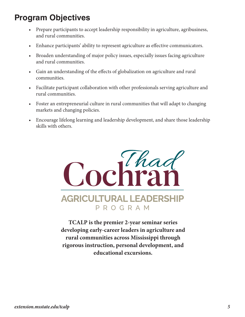### **Program Objectives**

- Prepare participants to accept leadership responsibility in agriculture, agribusiness, and rural communities.
- Enhance participants' ability to represent agriculture as effective communicators.
- Broaden understanding of major policy issues, especially issues facing agriculture and rural communities.
- Gain an understanding of the effects of globalization on agriculture and rural communities.
- Facilitate participant collaboration with other professionals serving agriculture and rural communities.
- Foster an entrepreneurial culture in rural communities that will adapt to changing markets and changing policies.
- Encourage lifelong learning and leadership development, and share those leadership skills with others.



**TCALP is the premier 2-year seminar series developing early-career leaders in agriculture and rural communities across Mississippi through rigorous instruction, personal development, and educational excursions.**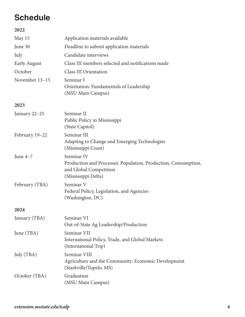### **Schedule**

#### **2022**

| May 15              | Application materials available                                                                                               |  |
|---------------------|-------------------------------------------------------------------------------------------------------------------------------|--|
| June 30             | Deadline to submit application materials                                                                                      |  |
| July                | Candidate interviews                                                                                                          |  |
| <b>Early August</b> | Class III members selected and notifications made                                                                             |  |
| October             | <b>Class III Orientation</b>                                                                                                  |  |
| November 13-15      | Seminar I<br>Orientation: Fundamentals of Leadership<br>(MSU Main Campus)                                                     |  |
| 2023                |                                                                                                                               |  |
| January 22-25       | Seminar II<br>Public Policy in Mississippi<br>(State Capitol)                                                                 |  |
| February 19-22      | Seminar III<br>Adapting to Change and Emerging Technologies<br>(Mississippi Coast)                                            |  |
| June $4-7$          | Seminar IV<br>Production and Processes: Population, Production, Consumption,<br>and Global Competition<br>(Mississippi Delta) |  |
| February (TBA)      | Seminar V<br>Federal Policy, Legislation, and Agencies<br>(Washington, DC)                                                    |  |
| 2024                |                                                                                                                               |  |
| January (TBA)       | Seminar VI<br>Out-of-State Ag Leadership/Production                                                                           |  |
| June (TBA)          | Seminar VII<br>International Policy, Trade, and Global Markets<br>(International Trip)                                        |  |
| July (TBA)          | Seminar VIII<br>Agriculture and the Community: Economic Development<br>(Starkville/Tupelo, MS)                                |  |
| October (TBA)       | Graduation<br>(MSU Main Campus)                                                                                               |  |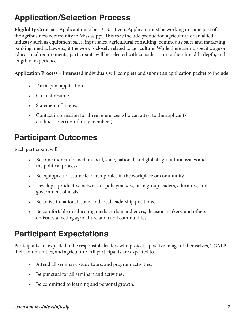### **Application/Selection Process**

**Eligibility Criteria** – Applicant must be a U.S. citizen. Applicant must be working in some part of the agribusiness community in Mississippi. This may include production agriculture or an allied industry such as equipment sales, input sales, agricultural consulting, commodity sales and marketing, banking, media, law, etc., if the work is closely related to agriculture. While there are no specific age or educational requirements, participants will be selected with consideration to their breadth, depth, and length of experience.

**Application Process** – Interested individuals will complete and submit an application packet to include:

- Participant application
- Current résumé
- Statement of interest
- Contact information for three references who can attest to the applicant's qualifications (non-family members)

### **Participant Outcomes**

Each participant will

- Become more informed on local, state, national, and global agricultural issues and the political process.
- Be equipped to assume leadership roles in the workplace or community.
- Develop a productive network of policymakers, farm group leaders, educators, and government officials.
- Be active in national, state, and local leadership positions.
- Be comfortable in educating media, urban audiences, decision‐makers, and others on issues affecting agriculture and rural communities.

### **Participant Expectations**

Participants are expected to be responsible leaders who project a positive image of themselves, TCALP, their communities, and agriculture. All participants are expected to

- Attend all seminars, study tours, and program activities.
- Be punctual for all seminars and activities.
- Be committed to learning and personal growth.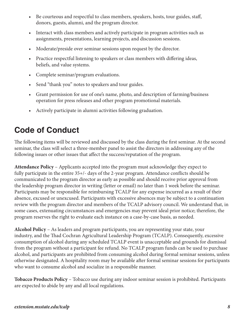- Be courteous and respectful to class members, speakers, hosts, tour guides, staff, donors, guests, alumni, and the program director.
- Interact with class members and actively participate in program activities such as assignments, presentations, learning projects, and discussion sessions.
- Moderate/preside over seminar sessions upon request by the director.
- Practice respectful listening to speakers or class members with differing ideas, beliefs, and value systems.
- Complete seminar/program evaluations.
- Send "thank you" notes to speakers and tour guides.
- Grant permission for use of one's name, photo, and description of farming/business operation for press releases and other program promotional materials.
- Actively participate in alumni activities following graduation.

### **Code of Conduct**

The following items will be reviewed and discussed by the class during the first seminar. At the second seminar, the class will select a three-member panel to assist the directors in addressing any of the following issues or other issues that affect the success/reputation of the program.

**Attendance Policy** – Applicants accepted into the program must acknowledge they expect to fully participate in the entire 35+/- days of the 2-year program. Attendance conflicts should be communicated to the program director as early as possible and should receive prior approval from the leadership program director in writing (letter or email) no later than 1 week before the seminar. Participants may be responsible for reimbursing TCALP for any expense incurred as a result of their absence, excused or unexcused. Participants with excessive absences may be subject to a continuation review with the program director and members of the TCALP advisory council. We understand that, in some cases, extenuating circumstances and emergencies may prevent ideal prior notice; therefore, the program reserves the right to evaluate each instance on a case-by-case basis, as needed.

**Alcohol Policy** – As leaders and program participants, you are representing your state, your industry, and the Thad Cochran Agricultural Leadership Program (TCALP). Consequently, excessive consumption of alcohol during any scheduled TCALP event is unacceptable and grounds for dismissal from the program without a participant fee refund. No TCALP program funds can be used to purchase alcohol, and participants are prohibited from consuming alcohol during formal seminar sessions, unless otherwise designated. A hospitality room may be available after formal seminar sessions for participants who want to consume alcohol and socialize in a responsible manner.

**Tobacco Products Policy** – Tobacco use during any indoor seminar session is prohibited. Participants are expected to abide by any and all local regulations.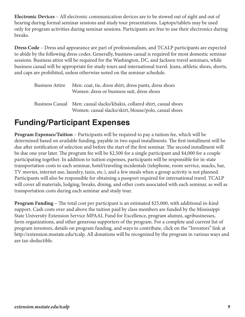**Electronic Devices** – All electronic communication devices are to be stowed out of sight and out of hearing during formal seminar sessions and study tour presentations. Laptops/tablets may be used only for program activities during seminar sessions. Participants are free to use their electronics during breaks.

**Dress Code** – Dress and appearance are part of professionalism, and TCALP participants are expected to abide by the following dress codes. Generally, business casual is required for most domestic seminar sessions. Business attire will be required for the Washington, DC, and Jackson travel seminars, while business casual will be appropriate for study tours and international travel. Jeans, athletic shoes, shorts, and caps are prohibited, unless otherwise noted on the seminar schedule.

| Business Attire | Men: coat, tie, dress shirt, dress pants, dress shoes<br>Women: dress or business suit, dress shoes                              |
|-----------------|----------------------------------------------------------------------------------------------------------------------------------|
|                 | Business Casual Men: casual slacks/khakis, collared shirt, casual shoes<br>Women: casual slacks/skirt, blouse/polo, casual shoes |

### **Funding/Participant Expenses**

**Program Expenses/Tuition** – Participants will be required to pay a tuition fee, which will be determined based on available funding, payable in two equal installments. The first installment will be due after notification of selection and before the start of the first seminar. The second installment will be due one year later. The program fee will be \$2,500 for a single participant and \$4,000 for a couple participating together. In addition to tuition expenses, participants will be responsible for in‐state transportation costs to each seminar, hotel/traveling incidentals (telephone, room service, snacks, bar, TV movies, internet use, laundry, taxis, etc.), and a few meals when a group activity is not planned. Participants will also be responsible for obtaining a passport required for international travel. TCALP will cover all materials, lodging, breaks, dining, and other costs associated with each seminar, as well as transportation costs during each seminar and study tour.

**Program Funding** – The total cost per participant is an estimated \$25,000, with additional in-kind support. Cash costs over and above the tuition paid by class members are funded by the Mississippi State University Extension Service MPAAL Fund for Excellence, program alumni, agribusinesses, farm organizations, and other generous supporters of the program. For a complete and current list of program investors, details on program funding, and ways to contribute, click on the "Investors" link at http://extension.msstate.edu/tcalp. All donations will be recognized by the program in various ways and are tax-deductible.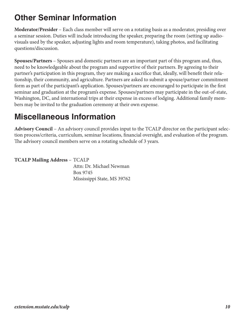### **Other Seminar Information**

**Moderator/Presider** – Each class member will serve on a rotating basis as a moderator, presiding over a seminar session. Duties will include introducing the speaker, preparing the room (setting up audio‐ visuals used by the speaker, adjusting lights and room temperature), taking photos, and facilitating questions/discussion.

**Spouses/Partners** – Spouses and domestic partners are an important part of this program and, thus, need to be knowledgeable about the program and supportive of their partners. By agreeing to their partner's participation in this program, they are making a sacrifice that, ideally, will benefit their relationship, their community, and agriculture. Partners are asked to submit a spouse/partner commitment form as part of the participant's application. Spouses/partners are encouraged to participate in the first seminar and graduation at the program's expense. Spouses/partners may participate in the out-of-state, Washington, DC, and international trips at their expense in excess of lodging. Additional family members may be invited to the graduation ceremony at their own expense.

### **Miscellaneous Information**

**Advisory Council** – An advisory council provides input to the TCALP director on the participant selection process/criteria, curriculum, seminar locations, financial oversight, and evaluation of the program. The advisory council members serve on a rotating schedule of 3 years.

| <b>TCALP Mailing Address - TCALP</b> |                             |
|--------------------------------------|-----------------------------|
|                                      | Attn: Dr. Michael Newman    |
|                                      | Box 9745                    |
|                                      | Mississippi State, MS 39762 |